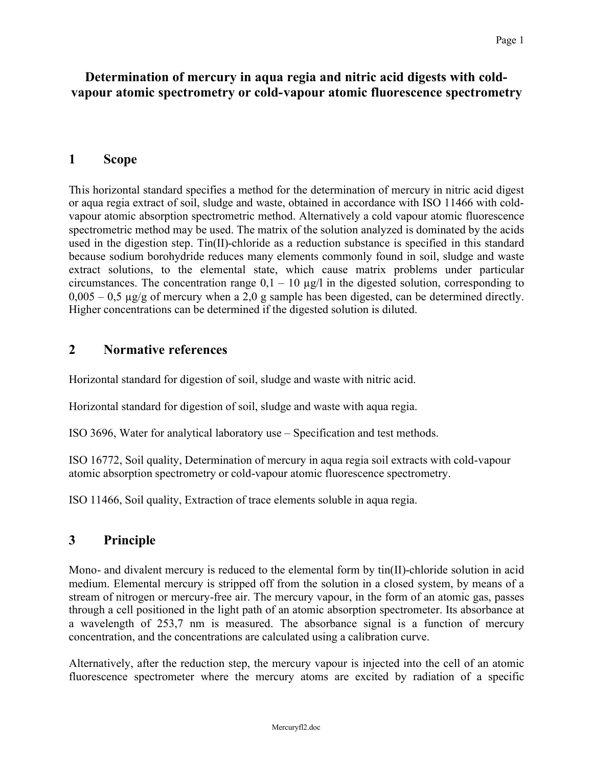# **Determination of mercury in aqua regia and nitric acid digests with coldvapour atomic spectrometry or cold-vapour atomic fluorescence spectrometry**

## **1 Scope**

This horizontal standard specifies a method for the determination of mercury in nitric acid digest or aqua regia extract of soil, sludge and waste, obtained in accordance with ISO 11466 with coldvapour atomic absorption spectrometric method. Alternatively a cold vapour atomic fluorescence spectrometric method may be used. The matrix of the solution analyzed is dominated by the acids used in the digestion step. Tin(II)-chloride as a reduction substance is specified in this standard because sodium borohydride reduces many elements commonly found in soil, sludge and waste extract solutions, to the elemental state, which cause matrix problems under particular circumstances. The concentration range  $0.1 - 10 \mu g/l$  in the digested solution, corresponding to  $0,005 - 0,5 \mu g/g$  of mercury when a 2,0 g sample has been digested, can be determined directly. Higher concentrations can be determined if the digested solution is diluted.

# **2 Normative references**

Horizontal standard for digestion of soil, sludge and waste with nitric acid.

Horizontal standard for digestion of soil, sludge and waste with aqua regia.

ISO 3696, Water for analytical laboratory use – Specification and test methods.

ISO 16772, Soil quality, Determination of mercury in aqua regia soil extracts with cold-vapour atomic absorption spectrometry or cold-vapour atomic fluorescence spectrometry.

ISO 11466, Soil quality, Extraction of trace elements soluble in aqua regia.

# **3 Principle**

Mono- and divalent mercury is reduced to the elemental form by tin(II)-chloride solution in acid medium. Elemental mercury is stripped off from the solution in a closed system, by means of a stream of nitrogen or mercury-free air. The mercury vapour, in the form of an atomic gas, passes through a cell positioned in the light path of an atomic absorption spectrometer. Its absorbance at a wavelength of 253,7 nm is measured. The absorbance signal is a function of mercury concentration, and the concentrations are calculated using a calibration curve.

Alternatively, after the reduction step, the mercury vapour is injected into the cell of an atomic fluorescence spectrometer where the mercury atoms are excited by radiation of a specific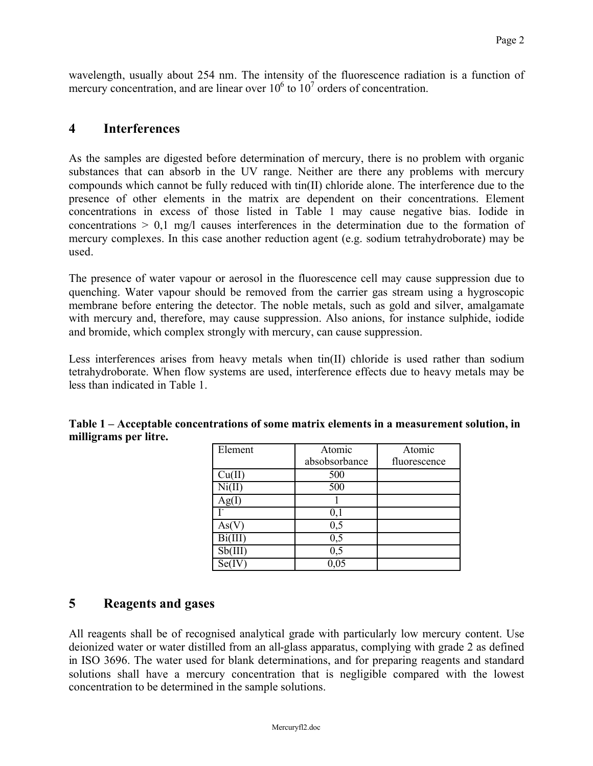wavelength, usually about 254 nm. The intensity of the fluorescence radiation is a function of mercury concentration, and are linear over  $10^6$  to  $10^7$  orders of concentration.

## **4 Interferences**

As the samples are digested before determination of mercury, there is no problem with organic substances that can absorb in the UV range. Neither are there any problems with mercury compounds which cannot be fully reduced with tin(II) chloride alone. The interference due to the presence of other elements in the matrix are dependent on their concentrations. Element concentrations in excess of those listed in Table 1 may cause negative bias. Iodide in concentrations > 0,1 mg/l causes interferences in the determination due to the formation of mercury complexes. In this case another reduction agent (e.g. sodium tetrahydroborate) may be used.

The presence of water vapour or aerosol in the fluorescence cell may cause suppression due to quenching. Water vapour should be removed from the carrier gas stream using a hygroscopic membrane before entering the detector. The noble metals, such as gold and silver, amalgamate with mercury and, therefore, may cause suppression. Also anions, for instance sulphide, iodide and bromide, which complex strongly with mercury, can cause suppression.

Less interferences arises from heavy metals when tin(II) chloride is used rather than sodium tetrahydroborate. When flow systems are used, interference effects due to heavy metals may be less than indicated in Table 1.

| Element | Atomic        | Atomic       |
|---------|---------------|--------------|
|         | absobsorbance | fluorescence |
|         | 500           |              |
|         | 500           |              |
|         |               |              |
|         | $_{0,1}$      |              |
|         | 0,5           |              |
|         | $_{0,5}$      |              |
|         | $_{0,5}$      |              |
|         |               |              |

### **Table 1 – Acceptable concentrations of some matrix elements in a measurement solution, in milligrams per litre.**

# **5 Reagents and gases**

All reagents shall be of recognised analytical grade with particularly low mercury content. Use deionized water or water distilled from an all-glass apparatus, complying with grade 2 as defined in ISO 3696. The water used for blank determinations, and for preparing reagents and standard solutions shall have a mercury concentration that is negligible compared with the lowest concentration to be determined in the sample solutions.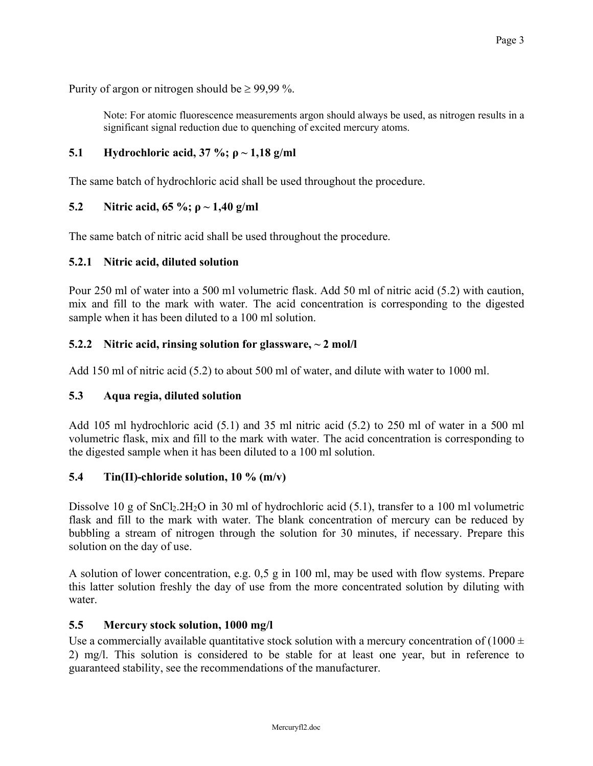Purity of argon or nitrogen should be  $\geq 99.99$  %.

Note: For atomic fluorescence measurements argon should always be used, as nitrogen results in a significant signal reduction due to quenching of excited mercury atoms.

### **5.1 Hydrochloric acid, 37 %; ρ ~ 1,18 g/ml**

The same batch of hydrochloric acid shall be used throughout the procedure.

### **5.2 Nitric acid, 65 %; ρ ~ 1,40 g/ml**

The same batch of nitric acid shall be used throughout the procedure.

### **5.2.1 Nitric acid, diluted solution**

Pour 250 ml of water into a 500 ml volumetric flask. Add 50 ml of nitric acid (5.2) with caution, mix and fill to the mark with water. The acid concentration is corresponding to the digested sample when it has been diluted to a 100 ml solution.

### **5.2.2 Nitric acid, rinsing solution for glassware, ~ 2 mol/l**

Add 150 ml of nitric acid (5.2) to about 500 ml of water, and dilute with water to 1000 ml.

### **5.3 Aqua regia, diluted solution**

Add 105 ml hydrochloric acid (5.1) and 35 ml nitric acid (5.2) to 250 ml of water in a 500 ml volumetric flask, mix and fill to the mark with water. The acid concentration is corresponding to the digested sample when it has been diluted to a 100 ml solution.

## **5.4 Tin(II)-chloride solution, 10 % (m/v)**

Dissolve 10 g of SnCl<sub>2</sub>.2H<sub>2</sub>O in 30 ml of hydrochloric acid (5.1), transfer to a 100 ml volumetric flask and fill to the mark with water. The blank concentration of mercury can be reduced by bubbling a stream of nitrogen through the solution for 30 minutes, if necessary. Prepare this solution on the day of use.

A solution of lower concentration, e.g. 0,5 g in 100 ml, may be used with flow systems. Prepare this latter solution freshly the day of use from the more concentrated solution by diluting with water.

### **5.5 Mercury stock solution, 1000 mg/l**

Use a commercially available quantitative stock solution with a mercury concentration of  $(1000 \pm 1000)$ 2) mg/l. This solution is considered to be stable for at least one year, but in reference to guaranteed stability, see the recommendations of the manufacturer.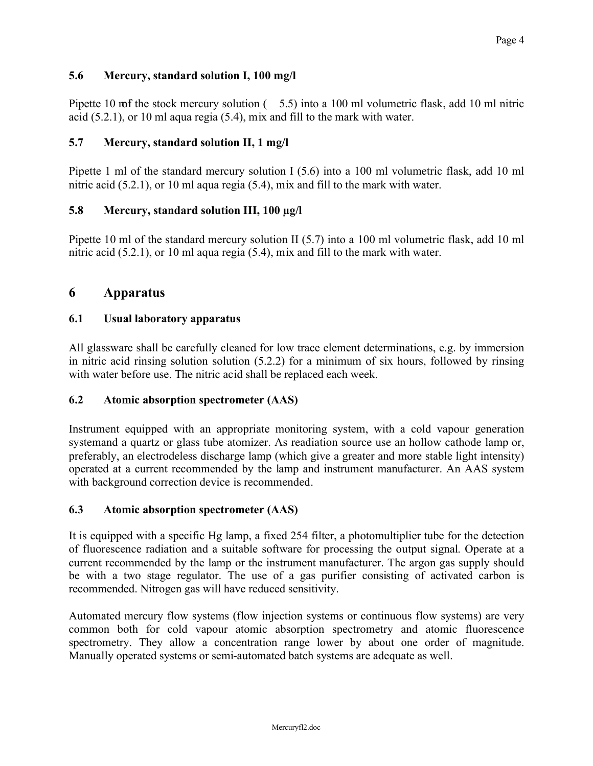### **5.6 Mercury, standard solution I, 100 mg/l**

Pipette 10 mf the stock mercury solution  $(5.5)$  into a 100 ml volumetric flask, add 10 ml nitric acid (5.2.1), or 10 ml aqua regia (5.4), mix and fill to the mark with water.

#### **5.7 Mercury, standard solution II, 1 mg/l**

Pipette 1 ml of the standard mercury solution I (5.6) into a 100 ml volumetric flask, add 10 ml nitric acid (5.2.1), or 10 ml aqua regia (5.4), mix and fill to the mark with water.

#### **5.8 Mercury, standard solution III, 100 µg/l**

Pipette 10 ml of the standard mercury solution II (5.7) into a 100 ml volumetric flask, add 10 ml nitric acid (5.2.1), or 10 ml aqua regia (5.4), mix and fill to the mark with water.

### **6 Apparatus**

#### **6.1 Usual laboratory apparatus**

All glassware shall be carefully cleaned for low trace element determinations, e.g. by immersion in nitric acid rinsing solution solution (5.2.2) for a minimum of six hours, followed by rinsing with water before use. The nitric acid shall be replaced each week.

#### **6.2 Atomic absorption spectrometer (AAS)**

Instrument equipped with an appropriate monitoring system, with a cold vapour generation systemand a quartz or glass tube atomizer. As readiation source use an hollow cathode lamp or, preferably, an electrodeless discharge lamp (which give a greater and more stable light intensity) operated at a current recommended by the lamp and instrument manufacturer. An AAS system with background correction device is recommended.

#### **6.3 Atomic absorption spectrometer (AAS)**

It is equipped with a specific Hg lamp, a fixed 254 filter, a photomultiplier tube for the detection of fluorescence radiation and a suitable software for processing the output signal. Operate at a current recommended by the lamp or the instrument manufacturer. The argon gas supply should be with a two stage regulator. The use of a gas purifier consisting of activated carbon is recommended. Nitrogen gas will have reduced sensitivity.

Automated mercury flow systems (flow injection systems or continuous flow systems) are very common both for cold vapour atomic absorption spectrometry and atomic fluorescence spectrometry. They allow a concentration range lower by about one order of magnitude. Manually operated systems or semi-automated batch systems are adequate as well.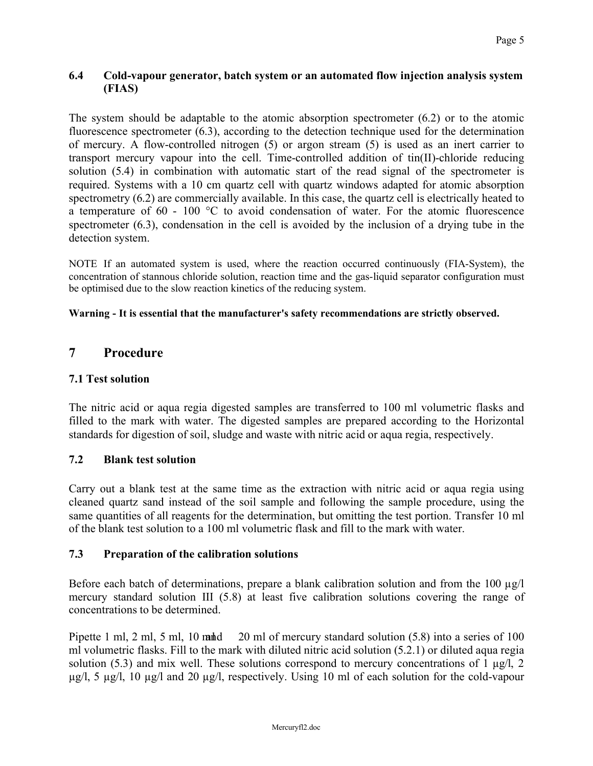#### **6.4 Cold-vapour generator, batch system or an automated flow injection analysis system (FIAS)**

The system should be adaptable to the atomic absorption spectrometer (6.2) or to the atomic fluorescence spectrometer (6.3), according to the detection technique used for the determination of mercury. A flow-controlled nitrogen (5) or argon stream (5) is used as an inert carrier to transport mercury vapour into the cell. Time-controlled addition of tin(II)-chloride reducing solution (5.4) in combination with automatic start of the read signal of the spectrometer is required. Systems with a 10 cm quartz cell with quartz windows adapted for atomic absorption spectrometry (6.2) are commercially available. In this case, the quartz cell is electrically heated to a temperature of 60 - 100 °C to avoid condensation of water. For the atomic fluorescence spectrometer (6.3), condensation in the cell is avoided by the inclusion of a drying tube in the detection system.

NOTE If an automated system is used, where the reaction occurred continuously (FIA-System), the concentration of stannous chloride solution, reaction time and the gas-liquid separator configuration must be optimised due to the slow reaction kinetics of the reducing system.

#### **Warning - It is essential that the manufacturer's safety recommendations are strictly observed.**

# **7 Procedure**

### **7.1 Test solution**

The nitric acid or aqua regia digested samples are transferred to 100 ml volumetric flasks and filled to the mark with water. The digested samples are prepared according to the Horizontal standards for digestion of soil, sludge and waste with nitric acid or aqua regia, respectively.

### **7.2 Blank test solution**

Carry out a blank test at the same time as the extraction with nitric acid or aqua regia using cleaned quartz sand instead of the soil sample and following the sample procedure, using the same quantities of all reagents for the determination, but omitting the test portion. Transfer 10 ml of the blank test solution to a 100 ml volumetric flask and fill to the mark with water.

### **7.3 Preparation of the calibration solutions**

Before each batch of determinations, prepare a blank calibration solution and from the 100  $\mu$ g/l mercury standard solution III (5.8) at least five calibration solutions covering the range of concentrations to be determined.

Pipette 1 ml, 2 ml, 5 ml, 10 m and 20 ml of mercury standard solution  $(5.8)$  into a series of 100 ml volumetric flasks. Fill to the mark with diluted nitric acid solution (5.2.1) or diluted aqua regia solution (5.3) and mix well. These solutions correspond to mercury concentrations of 1  $\mu$ g/l, 2 µg/l, 5 µg/l, 10 µg/l and 20 µg/l, respectively. Using 10 ml of each solution for the cold-vapour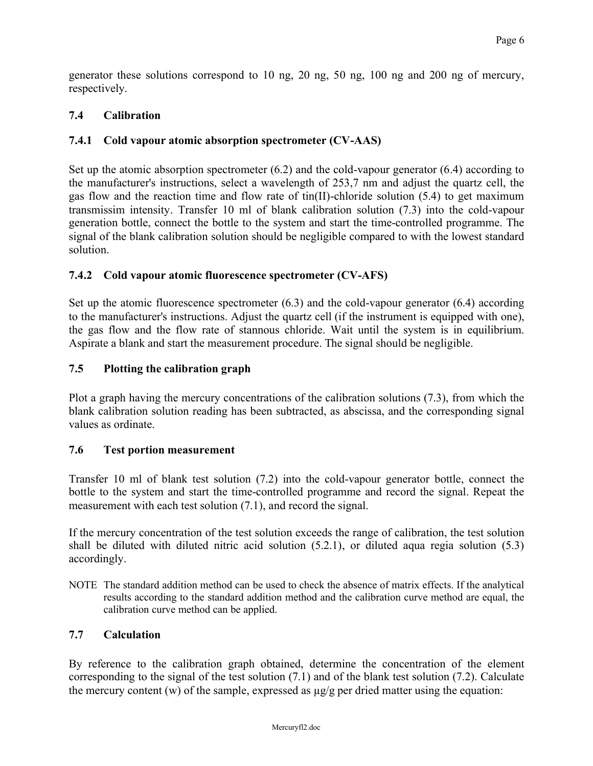generator these solutions correspond to 10 ng, 20 ng, 50 ng, 100 ng and 200 ng of mercury, respectively.

### **7.4 Calibration**

### **7.4.1 Cold vapour atomic absorption spectrometer (CV-AAS)**

Set up the atomic absorption spectrometer (6.2) and the cold-vapour generator (6.4) according to the manufacturer's instructions, select a wavelength of 253,7 nm and adjust the quartz cell, the gas flow and the reaction time and flow rate of tin(II)-chloride solution (5.4) to get maximum transmissim intensity. Transfer 10 ml of blank calibration solution (7.3) into the cold-vapour generation bottle, connect the bottle to the system and start the time-controlled programme. The signal of the blank calibration solution should be negligible compared to with the lowest standard solution.

#### **7.4.2 Cold vapour atomic fluorescence spectrometer (CV-AFS)**

Set up the atomic fluorescence spectrometer (6.3) and the cold-vapour generator (6.4) according to the manufacturer's instructions. Adjust the quartz cell (if the instrument is equipped with one), the gas flow and the flow rate of stannous chloride. Wait until the system is in equilibrium. Aspirate a blank and start the measurement procedure. The signal should be negligible.

#### **7.5 Plotting the calibration graph**

Plot a graph having the mercury concentrations of the calibration solutions (7.3), from which the blank calibration solution reading has been subtracted, as abscissa, and the corresponding signal values as ordinate.

### **7.6 Test portion measurement**

Transfer 10 ml of blank test solution (7.2) into the cold-vapour generator bottle, connect the bottle to the system and start the time-controlled programme and record the signal. Repeat the measurement with each test solution (7.1), and record the signal.

If the mercury concentration of the test solution exceeds the range of calibration, the test solution shall be diluted with diluted nitric acid solution (5.2.1), or diluted aqua regia solution (5.3) accordingly.

NOTE The standard addition method can be used to check the absence of matrix effects. If the analytical results according to the standard addition method and the calibration curve method are equal, the calibration curve method can be applied.

### **7.7 Calculation**

By reference to the calibration graph obtained, determine the concentration of the element corresponding to the signal of the test solution (7.1) and of the blank test solution (7.2). Calculate the mercury content  $(w)$  of the sample, expressed as  $\mu$ g/g per dried matter using the equation: